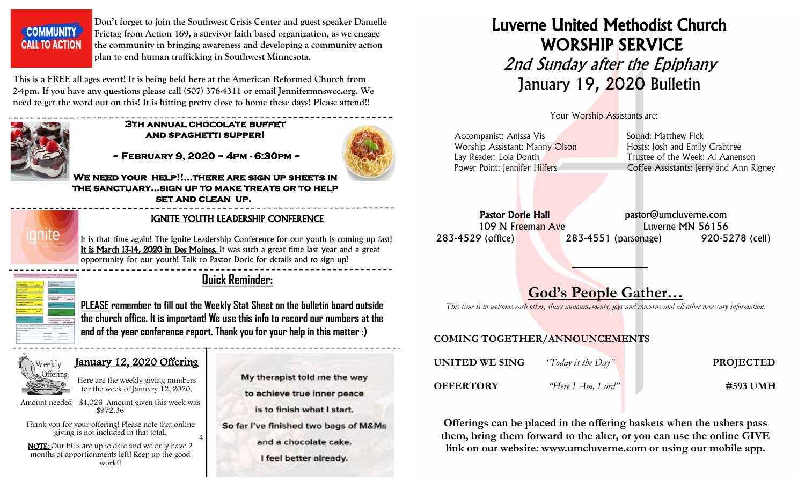COMMUNITY **CALL TO ACTION**  **Don't forget to join the Southwest Crisis Center and guest speaker Danielle Frietag from Action 169, a survivor faith based organization, as we engage the community in bringing awareness and developing a community action plan to end human trafficking in Southwest Minnesota.**

**This is a FREE all ages event! It is being held here at the American Reformed Church from 2-4pm. If you have any questions please call (507) 376-4311 or email Jennifermnswcc.org. We need to get the word out on this! It is hitting pretty close to home these days! Please attend!!** 



#### **3th annual chocolate buffet and spaghetti supper!**

 **~ February 9, 2020 ~ 4pm - 6:30pm ~** 



**We need your help!!...there are sign up sheets in the sanctuary...sign up to make treats or to help set and clean up.**

4



#### IGNITE YOUTH LEADERSHIP CONFERENCE

It is that time again! The Ignite Leadership Conference for our youth is coming up fast! It is March 13-14, 2020 in Des Moines. It was such a great time last year and a great opportunity for our youth! Talk to Pastor Dorie for details and to sign up!



### **Quick Reminder:**

**PLEASE remember to fill out the Weekly Stat Sheet on the bulletin board outside the church office. It is important! We use this info to record our numbers at the end of the year conference report. Thank you for your help in this matter :)**

#### January 12, 2020 Offering



Here are the weekly giving numbers for the week of January 12, 2020.

Amount needed - \$4,026 Amount given this week was \$972.36

Thank you for your offering! Please note that online giving is not included in that total.

 NOTE: Our bills are up to date and we only have 2 months of apportionments left! Keep up the good work!!

- My therapist told me the way to achieve true inner peace is to finish what I start. So far I've finished two bags of M&Ms
	- and a chocolate cake.

I feel better already.

# Luverne United Methodist Church WORSHIP SERVICE 2nd Sunday after the Epiphany January 19, 2020 Bulletin

Your Worship Assistants are:

| Accompanist: Anissa Vis        | Sound: Matthew Fick                     |
|--------------------------------|-----------------------------------------|
| Worship Assistant: Manny Olson | Hosts: Josh and Emily Crabtree          |
| Lay Reader: Lola Donth         | Trustee of the Week: Al Aanenson        |
| Power Point: Jennifer Hilfers  | Coffee Assistants: Jerry and Ann Rigney |
|                                |                                         |

Pastor Dorie Hall **Pastor** pastor@umcluverne.com 109 N Freeman Ave Luverne MN 56156 283-4529 (office) 283-4551 (parsonage) 920-5278 (cell)

## God's People Gather…

*This time is to welcome each other, share announcements, joys and concerns and all other necessary information.*

#### COMING TOGETHER/ANNOUNCEMENTS

| UNITED WE SING   | "Today is the Day" | <b>PROJECTED</b> |
|------------------|--------------------|------------------|
| <b>OFFERTORY</b> | "Here I Am, Lord"  | #593 UMH         |

Offerings can be placed in the offering baskets when the ushers pass them, bring them forward to the alter, or you can use the online GIVE link on our website: www.umcluverne.com or using our mobile app.